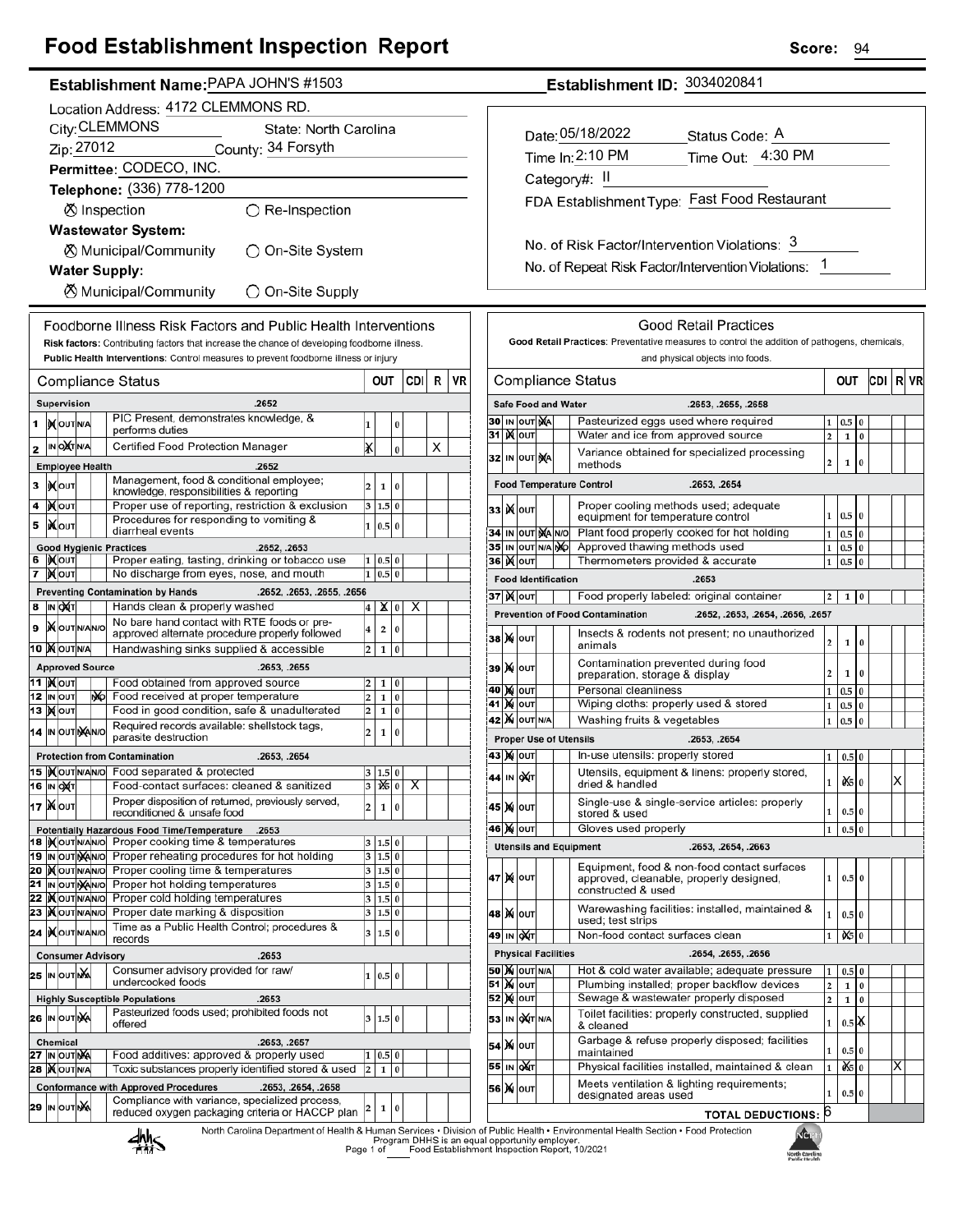## **Food Establishment Inspection Report**

|          | Establishment Name:PAPA JUHN 5 #1503                                         |                                  |  |    |                                                                                                         |                         |                |          |     |   |    |
|----------|------------------------------------------------------------------------------|----------------------------------|--|----|---------------------------------------------------------------------------------------------------------|-------------------------|----------------|----------|-----|---|----|
|          | Location Address: 4172 CLEMMONS RD.                                          |                                  |  |    |                                                                                                         |                         |                |          |     |   |    |
|          | City: CLEMMONS<br>State: North Carolina                                      |                                  |  |    |                                                                                                         |                         |                |          |     |   |    |
|          | Zip: 27012<br>County: 34 Forsyth                                             |                                  |  |    |                                                                                                         |                         |                |          |     |   |    |
|          |                                                                              |                                  |  |    |                                                                                                         |                         |                |          |     |   |    |
|          | Permittee: CODECO, INC.                                                      |                                  |  |    |                                                                                                         |                         |                |          |     |   |    |
|          |                                                                              |                                  |  |    | Telephone: (336) 778-1200                                                                               |                         |                |          |     |   |    |
|          |                                                                              |                                  |  |    | <b>Ø</b> Inspection<br>$\bigcirc$ Re-Inspection                                                         |                         |                |          |     |   |    |
|          |                                                                              |                                  |  |    | <b>Wastewater System:</b>                                                                               |                         |                |          |     |   |    |
|          |                                                                              |                                  |  |    | ⊗ Municipal/Community<br>◯ On-Site System                                                               |                         |                |          |     |   |    |
|          |                                                                              |                                  |  |    | <b>Water Supply:</b>                                                                                    |                         |                |          |     |   |    |
|          |                                                                              |                                  |  |    |                                                                                                         |                         |                |          |     |   |    |
|          | <b><math>\oslash</math> Municipal/Community</b><br>$\bigcirc$ On-Site Supply |                                  |  |    |                                                                                                         |                         |                |          |     |   |    |
|          |                                                                              |                                  |  |    | Foodborne Illness Risk Factors and Public Health Interventions                                          |                         |                |          |     |   |    |
|          |                                                                              |                                  |  |    | Risk factors: Contributing factors that increase the chance of developing foodborne illness.            |                         |                |          |     |   |    |
|          |                                                                              |                                  |  |    | Public Health Interventions: Control measures to prevent foodborne illness or injury                    |                         |                |          |     |   |    |
|          |                                                                              |                                  |  |    |                                                                                                         |                         | OUT            |          | CDI | R | VR |
|          |                                                                              |                                  |  |    | Compliance Status                                                                                       |                         |                |          |     |   |    |
|          |                                                                              | Supervision                      |  |    | .2652                                                                                                   |                         |                |          |     |   |    |
| 1        |                                                                              | <b>IX</b> OUTINA                 |  |    | PIC Present, demonstrates knowledge, &<br>performs duties                                               | 1                       |                | 0        |     |   |    |
| 2        |                                                                              | IN OXTNA                         |  |    | Certified Food Protection Manager                                                                       | x                       |                | 0        |     | x |    |
|          |                                                                              | <b>Employee Health</b>           |  |    | .2652                                                                                                   |                         |                |          |     |   |    |
| 3        |                                                                              | IX OUT                           |  |    | Management, food & conditional employee;                                                                | 2                       |                | 0        |     |   |    |
|          |                                                                              |                                  |  |    | knowledge, responsibilities & reporting                                                                 |                         | 1              |          |     |   |    |
| 4        |                                                                              | <b>XOUT</b>                      |  |    | Proper use of reporting, restriction & exclusion<br>Procedures for responding to vomiting &             | 3                       | 1.5 0          |          |     |   |    |
| 5        |                                                                              | ้¥∣о∪т                           |  |    | diarrheal events                                                                                        | 1                       | 0.5            | $\bf{0}$ |     |   |    |
|          |                                                                              |                                  |  |    | <b>Good Hygienic Practices</b><br>.2652, .2653                                                          |                         |                |          |     |   |    |
| 6        |                                                                              | IX OUT                           |  |    | Proper eating, tasting, drinking or tobacco use                                                         | 1                       | 0.5 0          |          |     |   |    |
| 7        |                                                                              | ∣) <b>X</b> ∣оυт                 |  |    | No discharge from eyes, nose, and mouth                                                                 | 1                       | 0.5 0          |          |     |   |    |
| 8        |                                                                              |                                  |  |    | <b>Preventing Contamination by Hands</b><br>.2652, .2653, .2655, .2656<br>Hands clean & properly washed |                         |                |          |     |   |    |
|          |                                                                              | IN DAT                           |  |    | No bare hand contact with RTE foods or pre-                                                             | 4                       | x∣             | 0        | х   |   |    |
| 9        |                                                                              | <b>X</b> OUTNANO                 |  |    | approved alternate procedure properly followed                                                          | 4                       | 2              | 0        |     |   |    |
|          |                                                                              | <b>10 MOUTNA</b>                 |  |    | Handwashing sinks supplied & accessible                                                                 | 2                       | 1              | 0        |     |   |    |
|          |                                                                              | <b>Approved Source</b>           |  |    | .2653, .2655                                                                                            |                         |                |          |     |   |    |
|          |                                                                              | 11  ) <b>χ</b>  ουτ              |  |    | Food obtained from approved source                                                                      | 2                       | 1              | 0        |     |   |    |
|          |                                                                              | 12 IN OUT<br>13   <b>)(</b>  оит |  | ŊЮ | Food received at proper temperature<br>Food in good condition, safe & unadulterated                     | 2<br>2                  | 1<br>1         | 0<br>0   |     |   |    |
|          |                                                                              |                                  |  |    | Required records available: shellstock tags,                                                            |                         |                |          |     |   |    |
|          |                                                                              | 14 IN OUT NA                     |  |    | parasite destruction                                                                                    | 2                       | 1              | 0        |     |   |    |
|          |                                                                              |                                  |  |    | <b>Protection from Contamination</b><br>.2653, .2654                                                    |                         |                |          |     |   |    |
|          |                                                                              |                                  |  |    | 15 Xout NAVO Food separated & protected                                                                 | 3                       | 1.5 0          |          |     |   |    |
|          |                                                                              | 16  IN  OXT                      |  |    | Food-contact surfaces: cleaned & sanitized                                                              | з                       | 125   0        |          | х   |   |    |
|          |                                                                              | 17   Χ ουτ                       |  |    | Proper disposition of returned, previously served,<br>reconditioned & unsafe food                       | 2                       | 1              | 0        |     |   |    |
|          |                                                                              |                                  |  |    | <b>Potentially Hazardous Food Time/Temperature</b><br>.2653                                             |                         |                |          |     |   |    |
| 18       |                                                                              | IN OUT N/AN/O                    |  |    | Proper cooking time & temperatures                                                                      | 3                       | 1.5            | 0        |     |   |    |
| 19       |                                                                              | IN OUT NANO                      |  |    | Proper reheating procedures for hot holding                                                             | 3                       | 1.5 0          |          |     |   |    |
| 20<br>21 |                                                                              | <b>MOUTINANO</b><br>IN OUT NANO  |  |    | Proper cooling time & temperatures<br>Proper hot holding temperatures                                   | 3<br>3                  | 1.5 0<br>1.5 0 |          |     |   |    |
| 22       |                                                                              | <b>IX</b> OUTNANO                |  |    | Proper cold holding temperatures                                                                        | 3                       | 1.5            | $\bf{0}$ |     |   |    |
| 23       |                                                                              | <b>KOUTNANO</b>                  |  |    | Proper date marking & disposition                                                                       | 3                       | 1.5 0          |          |     |   |    |
| 24       |                                                                              | IXOUTNANO                        |  |    | Time as a Public Health Control; procedures &<br>records                                                | 3                       | 1.5            | l 0      |     |   |    |
|          |                                                                              |                                  |  |    | <b>Consumer Advisory</b><br>.2653                                                                       |                         |                |          |     |   |    |
|          |                                                                              |                                  |  |    | Consumer advisory provided for raw/                                                                     |                         |                |          |     |   |    |
| 25       |                                                                              | IN OUTING                        |  |    | undercooked foods                                                                                       | 1                       | 0.5 0          |          |     |   |    |
|          |                                                                              |                                  |  |    | <b>Highly Susceptible Populations</b><br>.2653                                                          |                         |                |          |     |   |    |
|          |                                                                              | 26 IN OUT NA                     |  |    | Pasteurized foods used; prohibited foods not                                                            | 3                       | 1.5 0          |          |     |   |    |
|          | offered<br><b>Chemical</b>                                                   |                                  |  |    |                                                                                                         |                         |                |          |     |   |    |
|          |                                                                              | 27 IN OUT NA                     |  |    | .2653, .2657<br>Food additives: approved & properly used                                                | 1                       | $_{0.5}$       | 0        |     |   |    |
| 28       |                                                                              | <b>X</b> OUTNA                   |  |    | Toxic substances properly identified stored & used                                                      | $\overline{\mathbf{c}}$ | 1              | 0        |     |   |    |
|          |                                                                              |                                  |  |    | <b>Conformance with Approved Procedures</b><br>.2653, .2654, .2658                                      |                         |                |          |     |   |    |
| 29       |                                                                              | IN OUT NA                        |  |    | Compliance with variance, specialized process,                                                          | 2                       | 1              | 0        |     |   |    |
|          |                                                                              |                                  |  |    | reduced oxygen packaging criteria or HACCP plan                                                         |                         |                |          |     |   |    |
|          |                                                                              |                                  |  |    | North Carolina Department of Health & Human Services . Division<br>JL 1.                                |                         |                |          |     |   |    |

No. of Risk Factor/Intervention Violations: 3 No. of Repeat Risk Factor/Intervention Violations: 1 **Good Retail Practices** Good Retail Practices: Preventative measures to control the addition of pathogens, chemicals, and physical objects into foods. CDI R VR **Compliance Status** OUT Safe Food and Water .2653. .2655. .2658 30 IN OUT NA Pasteurized eggs used where required  $1\quad0.5$ 31 **Kout** Water and ice from approved source  $\mathbf 1$  $\mathbf{2}$  $\mathbf{0}$ Variance obtained for specialized processing 32 IN OUT XA  $\overline{0}$  $\mathbf 2$  $\mathbf 1$ methods **Food Temperature Control** .2653, .2654 Proper cooling methods used; adequate **33 Ж**оит  $1\vert 0.5$  $\overline{0}$ equipment for temperature control 34 IN OUT NA NO Plant food properly cooked for hot holding  $1\vert 0.5$  $\overline{0}$ 35 IN OUT N/A NO Approved thawing methods used  $1 \ 0.5 \ 0$ 36 **Kour** Thermometers provided & accurate  $1 \ 0.5 \ 0$ **Food Identification** .2653 Food properly labeled: original container  $2 \mid 1 \mid 0$  $37$   $N$  out **Prevention of Food Contamination** .2652. .2653. .2654. .2656. .2657 Insects & rodents not present; no unauthorized **38 X OUT**  $\mathbf{1}$  $\overline{0}$  $\overline{2}$ animals Contamination prevented during food **39 X OUT**  $\mathbf 2$  $\mathbf 1$  $\boldsymbol{0}$ preparation, storage & display 40 M OUT Personal cleanliness  $1\overline{)0.5}$  $\overline{0}$ 41 MOUT Wiping cloths: properly used & stored  $1 \mid 0.5$  $\bf{0}$ **42 X OUT N/A** Washing fruits & vegetables  $1 \vert 0.5$ **Proper Use of Utensils** .2653, .2654 43 № ОUТ In-use utensils: properly stored  $1 \mid 0.5 \mid 0$ Utensils, equipment & linens: properly stored, 44 IN 041 05 X lo  $\mathbf{1}$ dried & handled Single-use & single-service articles: properly 45 X OUT  $\mathbf{1}$  $0.5<sub>0</sub>$ stored & used 46 X OUT Gloves used properly  $1\quad 0.5$ **Utensils and Equipment** .2653, .2654, .2663 Equipment, food & non-food contact surfaces 47 X OUT  $0.5|0$ approved, cleanable, properly designed,  $\mathbf{1}$ constructed & used Warewashing facilities: installed, maintained & 48 **) (**олт  $\mathbf{1}$  $0.5\,$  0 used; test strips  $1$  0  $\frac{1}{9}$ 49 IN OXT Non-food contact surfaces clean **Physical Facilities** .2654, .2655, .2656 Hot & cold water available; adequate pressure **50 X OUT N/A**  $1 \mid 0.5 \mid 0$ **51 Mout** Plumbing installed; proper backflow devices  $\begin{array}{|c|c|c|}\n\hline\n2 & 1 \\
\hline\n\end{array}$  $\bf{0}$ **52 MOUT** Sewage & wastewater properly disposed  $2 \quad 1 \quad 0$ Toilet facilities: properly constructed, supplied 53 IN OXT N/A  $0.5$  X  $\mathbf 1$ & cleaned Garbage & refuse properly disposed; facilities 54 X 0UT  $0.5$  $\overline{0}$ maintained 55 IN OXT Physical facilities installed, maintained & clean  $1$  0% ΙX 0 Meets ventilation & lighting requirements; 56 X ou<sup>-</sup>  $0.5|0$ designated areas used TOTAL DEDUCTIONS: 6 of Public Health . Environmental Health Section . Food Protection



Program DHHS is an equal opportunity employer.<br>1 of Fogram DHHS is an equal opportunity employer.

Page 1 of



Establishment ID: 3034020841

FDA Establishment Type: Fast Food Restaurant

Status Code: A

Time Out: 4:30 PM

Date: 05/18/2022

Time In: 2:10 PM

Category#: II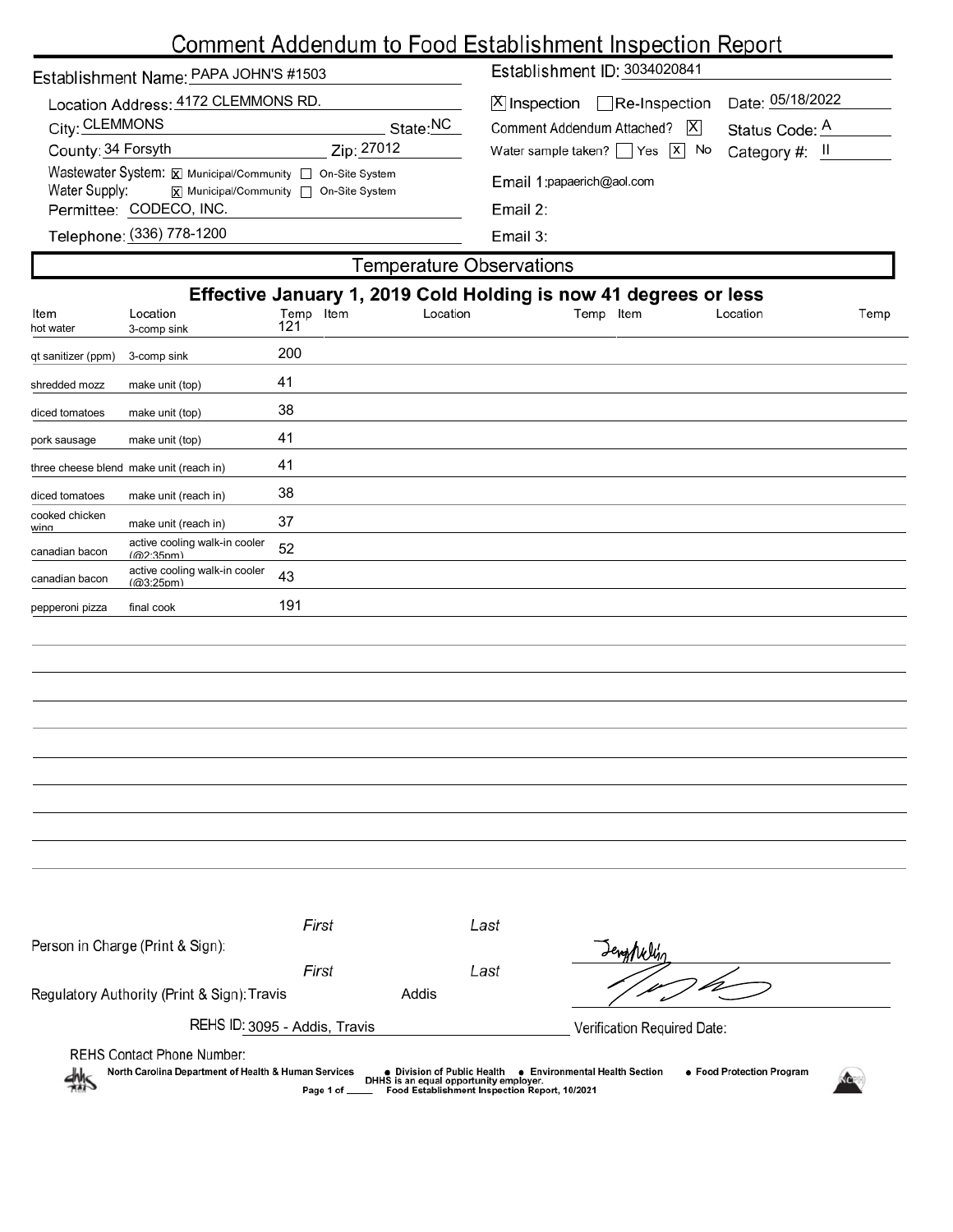# Comment Addendum to Food Establishment Inspection Report

| Establishment Name: PAPA JOHN'S #1503                                                                                       |          | Establishment ID: 3034020841                       |                  |  |  |  |
|-----------------------------------------------------------------------------------------------------------------------------|----------|----------------------------------------------------|------------------|--|--|--|
| Location Address: 4172 CLEMMONS RD.                                                                                         |          | $[X]$ Inspection $\Box$ Re-Inspection              | Date: 05/18/2022 |  |  |  |
| City: CLEMMONS                                                                                                              | State:NC | X <br>Comment Addendum Attached?<br>Status Code: A |                  |  |  |  |
| County: 34 Forsyth<br>Zip: 27012                                                                                            |          | Water sample taken? $\Box$ Yes $\Box$ No           | Category #: II   |  |  |  |
| Wastewater System: X Municipal/Community   On-Site System<br>Water Supply:<br><b>x</b> Municipal/Community □ On-Site System |          | Email 1: papaerich@aol.com                         |                  |  |  |  |
| Permittee: CODECO, INC.                                                                                                     |          | Email 2:                                           |                  |  |  |  |
| Telephone: (336) 778-1200                                                                                                   |          | Email 3:                                           |                  |  |  |  |
| <b>Temperature Observations</b>                                                                                             |          |                                                    |                  |  |  |  |

| Effective January 1, 2019 Cold Holding is now 41 degrees or less |                                            |                  |          |           |          |      |
|------------------------------------------------------------------|--------------------------------------------|------------------|----------|-----------|----------|------|
| Item<br>hot water                                                | Location<br>3-comp sink                    | Temp Item<br>121 | Location | Temp Item | Location | Temp |
| qt sanitizer (ppm)                                               | 3-comp sink                                | 200              |          |           |          |      |
| shredded mozz                                                    | make unit (top)                            | 41               |          |           |          |      |
| diced tomatoes                                                   | make unit (top)                            | 38               |          |           |          |      |
| pork sausage                                                     | make unit (top)                            | 41               |          |           |          |      |
|                                                                  | three cheese blend make unit (reach in)    | 41               |          |           |          |      |
| diced tomatoes                                                   | make unit (reach in)                       | 38               |          |           |          |      |
| cooked chicken<br>wina                                           | make unit (reach in)                       | 37               |          |           |          |      |
| canadian bacon                                                   | active cooling walk-in cooler<br>(@2:35pm) | 52               |          |           |          |      |
| canadian bacon                                                   | active cooling walk-in cooler<br>(m3.25nm) | 43               |          |           |          |      |
| pepperoni pizza                                                  | final cook                                 | 191              |          |           |          |      |
|                                                                  |                                            |                  |          |           |          |      |
|                                                                  |                                            |                  |          |           |          |      |
|                                                                  |                                            |                  |          |           |          |      |
|                                                                  |                                            |                  |          |           |          |      |
|                                                                  |                                            |                  |          |           |          |      |
|                                                                  |                                            |                  |          |           |          |      |
|                                                                  |                                            |                  |          |           |          |      |
|                                                                  |                                            |                  |          |           |          |      |
|                                                                  |                                            |                  |          |           |          |      |
|                                                                  |                                            |                  |          |           |          |      |
|                                                                  | Person in Charge (Print & Sign):           | First            | Last     | Jenghely  |          |      |

| Person in Charge (Print & Sign):                          |                                                                                      |                                               | Lengthelyn                                                       |  |  |  |
|-----------------------------------------------------------|--------------------------------------------------------------------------------------|-----------------------------------------------|------------------------------------------------------------------|--|--|--|
|                                                           | First                                                                                | Last                                          |                                                                  |  |  |  |
| Regulatory Authority (Print & Sign): Travis               | Addis                                                                                |                                               |                                                                  |  |  |  |
| REHS ID: 3095 - Addis, Travis                             |                                                                                      |                                               | Verification Required Date:                                      |  |  |  |
| <b>REHS Contact Phone Number:</b>                         |                                                                                      |                                               |                                                                  |  |  |  |
| North Carolina Department of Health & Human Services<br>煞 | • Division of Public Health<br>DHHS is an equal opportunity employer.<br>Page 1 of _ | Food Establishment Inspection Report, 10/2021 | • Food Protection Program<br><b>Environmental Health Section</b> |  |  |  |